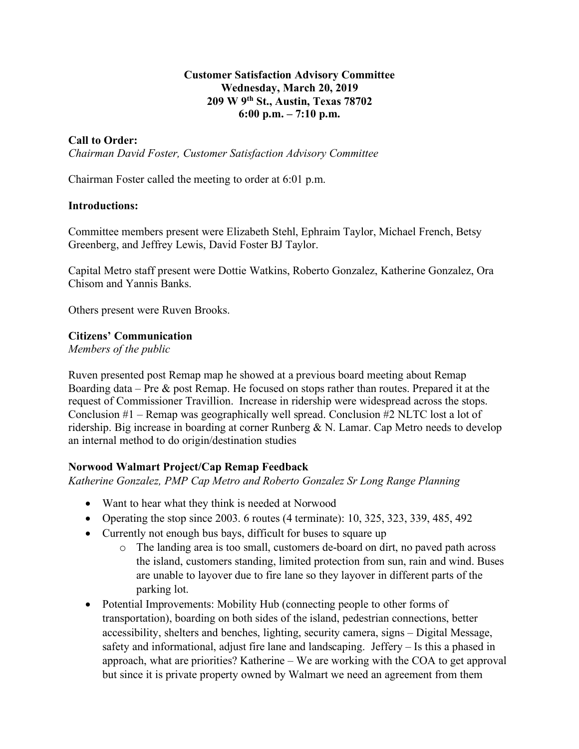### **Customer Satisfaction Advisory Committee Wednesday, March 20, 2019 209 W 9th St., Austin, Texas 78702 6:00 p.m. – 7:10 p.m.**

## **Call to Order:**

*Chairman David Foster, Customer Satisfaction Advisory Committee*

Chairman Foster called the meeting to order at 6:01 p.m.

### **Introductions:**

Committee members present were Elizabeth Stehl, Ephraim Taylor, Michael French, Betsy Greenberg, and Jeffrey Lewis, David Foster BJ Taylor.

Capital Metro staff present were Dottie Watkins, Roberto Gonzalez, Katherine Gonzalez, Ora Chisom and Yannis Banks.

Others present were Ruven Brooks.

### **Citizens' Communication**

*Members of the public*

Ruven presented post Remap map he showed at a previous board meeting about Remap Boarding data – Pre & post Remap. He focused on stops rather than routes. Prepared it at the request of Commissioner Travillion. Increase in ridership were widespread across the stops. Conclusion #1 – Remap was geographically well spread. Conclusion #2 NLTC lost a lot of ridership. Big increase in boarding at corner Runberg & N. Lamar. Cap Metro needs to develop an internal method to do origin/destination studies

## **Norwood Walmart Project/Cap Remap Feedback**

*Katherine Gonzalez, PMP Cap Metro and Roberto Gonzalez Sr Long Range Planning*

- Want to hear what they think is needed at Norwood
- Operating the stop since 2003. 6 routes (4 terminate):  $10, 325, 323, 339, 485, 492$
- Currently not enough bus bays, difficult for buses to square up
	- o The landing area is too small, customers de-board on dirt, no paved path across the island, customers standing, limited protection from sun, rain and wind. Buses are unable to layover due to fire lane so they layover in different parts of the parking lot.
- Potential Improvements: Mobility Hub (connecting people to other forms of transportation), boarding on both sides of the island, pedestrian connections, better accessibility, shelters and benches, lighting, security camera, signs – Digital Message, safety and informational, adjust fire lane and landscaping. Jeffery – Is this a phased in approach, what are priorities? Katherine – We are working with the COA to get approval but since it is private property owned by Walmart we need an agreement from them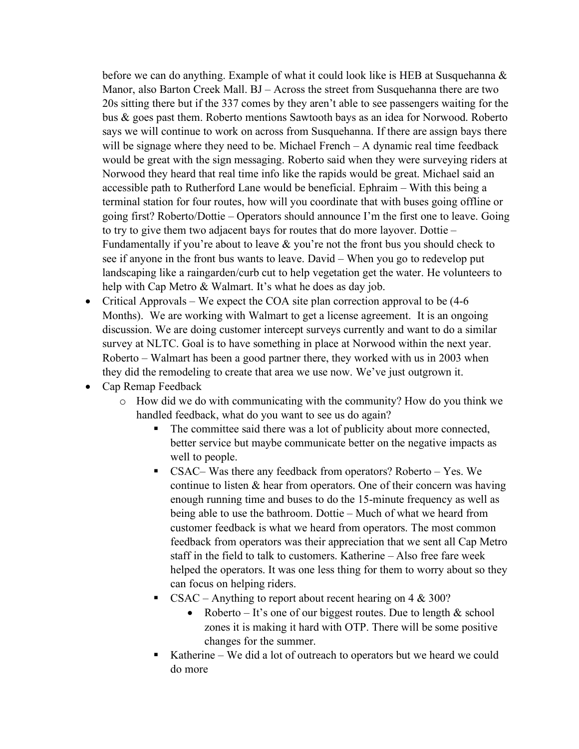before we can do anything. Example of what it could look like is HEB at Susquehanna & Manor, also Barton Creek Mall. BJ – Across the street from Susquehanna there are two 20s sitting there but if the 337 comes by they aren't able to see passengers waiting for the bus & goes past them. Roberto mentions Sawtooth bays as an idea for Norwood. Roberto says we will continue to work on across from Susquehanna. If there are assign bays there will be signage where they need to be. Michael French – A dynamic real time feedback would be great with the sign messaging. Roberto said when they were surveying riders at Norwood they heard that real time info like the rapids would be great. Michael said an accessible path to Rutherford Lane would be beneficial. Ephraim – With this being a terminal station for four routes, how will you coordinate that with buses going offline or going first? Roberto/Dottie – Operators should announce I'm the first one to leave. Going to try to give them two adjacent bays for routes that do more layover. Dottie – Fundamentally if you're about to leave  $\&$  you're not the front bus you should check to see if anyone in the front bus wants to leave. David – When you go to redevelop put landscaping like a raingarden/curb cut to help vegetation get the water. He volunteers to help with Cap Metro & Walmart. It's what he does as day job.

- Critical Approvals We expect the COA site plan correction approval to be (4-6) Months). We are working with Walmart to get a license agreement. It is an ongoing discussion. We are doing customer intercept surveys currently and want to do a similar survey at NLTC. Goal is to have something in place at Norwood within the next year. Roberto – Walmart has been a good partner there, they worked with us in 2003 when they did the remodeling to create that area we use now. We've just outgrown it.
- Cap Remap Feedback
	- o How did we do with communicating with the community? How do you think we handled feedback, what do you want to see us do again?
		- The committee said there was a lot of publicity about more connected, better service but maybe communicate better on the negative impacts as well to people.
		- CSAC– Was there any feedback from operators? Roberto Yes. We continue to listen & hear from operators. One of their concern was having enough running time and buses to do the 15-minute frequency as well as being able to use the bathroom. Dottie – Much of what we heard from customer feedback is what we heard from operators. The most common feedback from operators was their appreciation that we sent all Cap Metro staff in the field to talk to customers. Katherine – Also free fare week helped the operators. It was one less thing for them to worry about so they can focus on helping riders.
		- $CSAC -$  Anything to report about recent hearing on 4 & 300?
			- Roberto It's one of our biggest routes. Due to length  $&$  school zones it is making it hard with OTP. There will be some positive changes for the summer.
		- Katherine We did a lot of outreach to operators but we heard we could do more